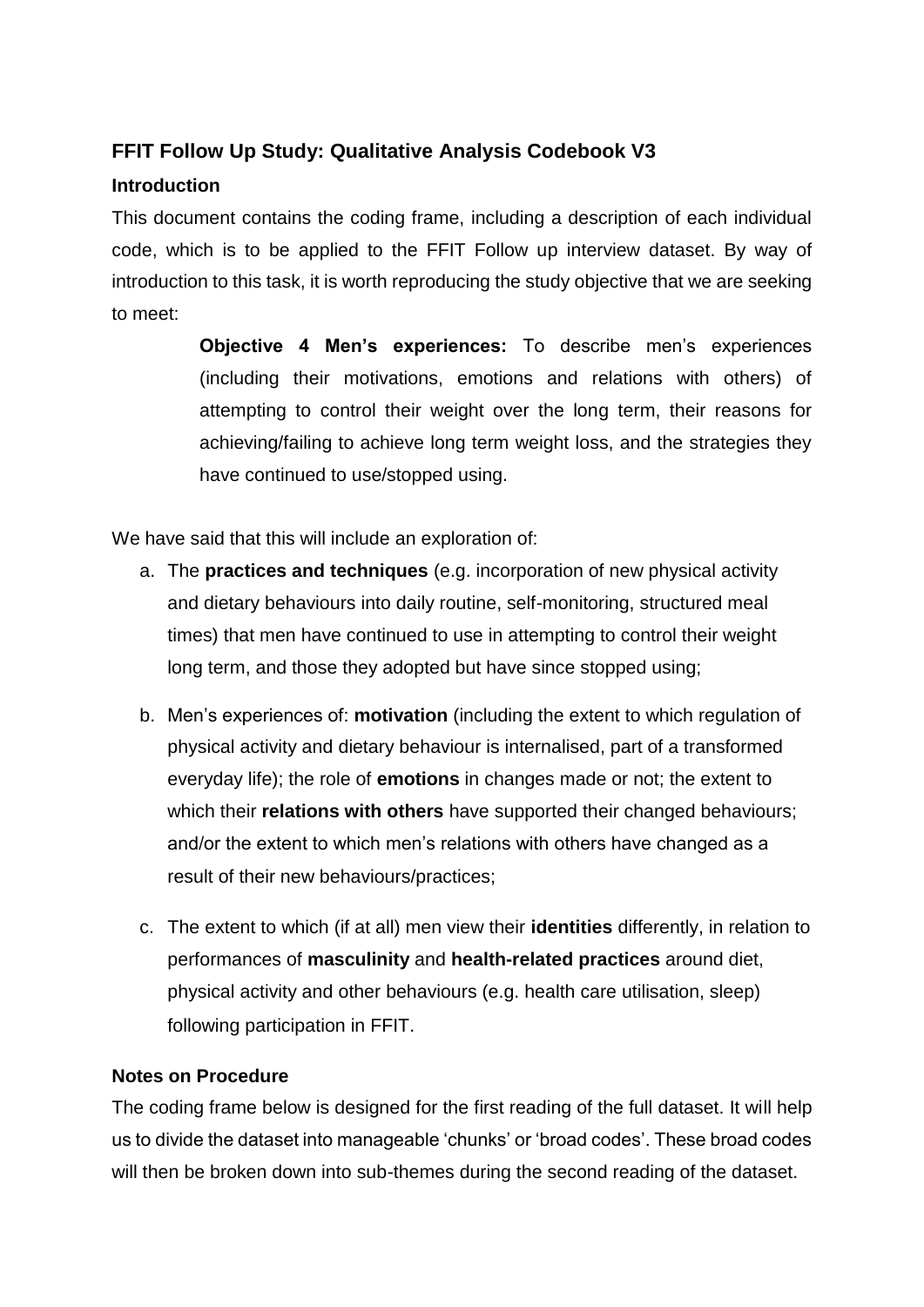# **FFIT Follow Up Study: Qualitative Analysis Codebook V3**

# **Introduction**

This document contains the coding frame, including a description of each individual code, which is to be applied to the FFIT Follow up interview dataset. By way of introduction to this task, it is worth reproducing the study objective that we are seeking to meet:

> **Objective 4 Men's experiences:** To describe men's experiences (including their motivations, emotions and relations with others) of attempting to control their weight over the long term, their reasons for achieving/failing to achieve long term weight loss, and the strategies they have continued to use/stopped using.

We have said that this will include an exploration of:

- a. The **practices and techniques** (e.g. incorporation of new physical activity and dietary behaviours into daily routine, self-monitoring, structured meal times) that men have continued to use in attempting to control their weight long term, and those they adopted but have since stopped using;
- b. Men's experiences of: **motivation** (including the extent to which regulation of physical activity and dietary behaviour is internalised, part of a transformed everyday life); the role of **emotions** in changes made or not; the extent to which their **relations with others** have supported their changed behaviours; and/or the extent to which men's relations with others have changed as a result of their new behaviours/practices;
- c. The extent to which (if at all) men view their **identities** differently, in relation to performances of **masculinity** and **health-related practices** around diet, physical activity and other behaviours (e.g. health care utilisation, sleep) following participation in FFIT.

# **Notes on Procedure**

The coding frame below is designed for the first reading of the full dataset. It will help us to divide the dataset into manageable 'chunks' or 'broad codes'. These broad codes will then be broken down into sub-themes during the second reading of the dataset.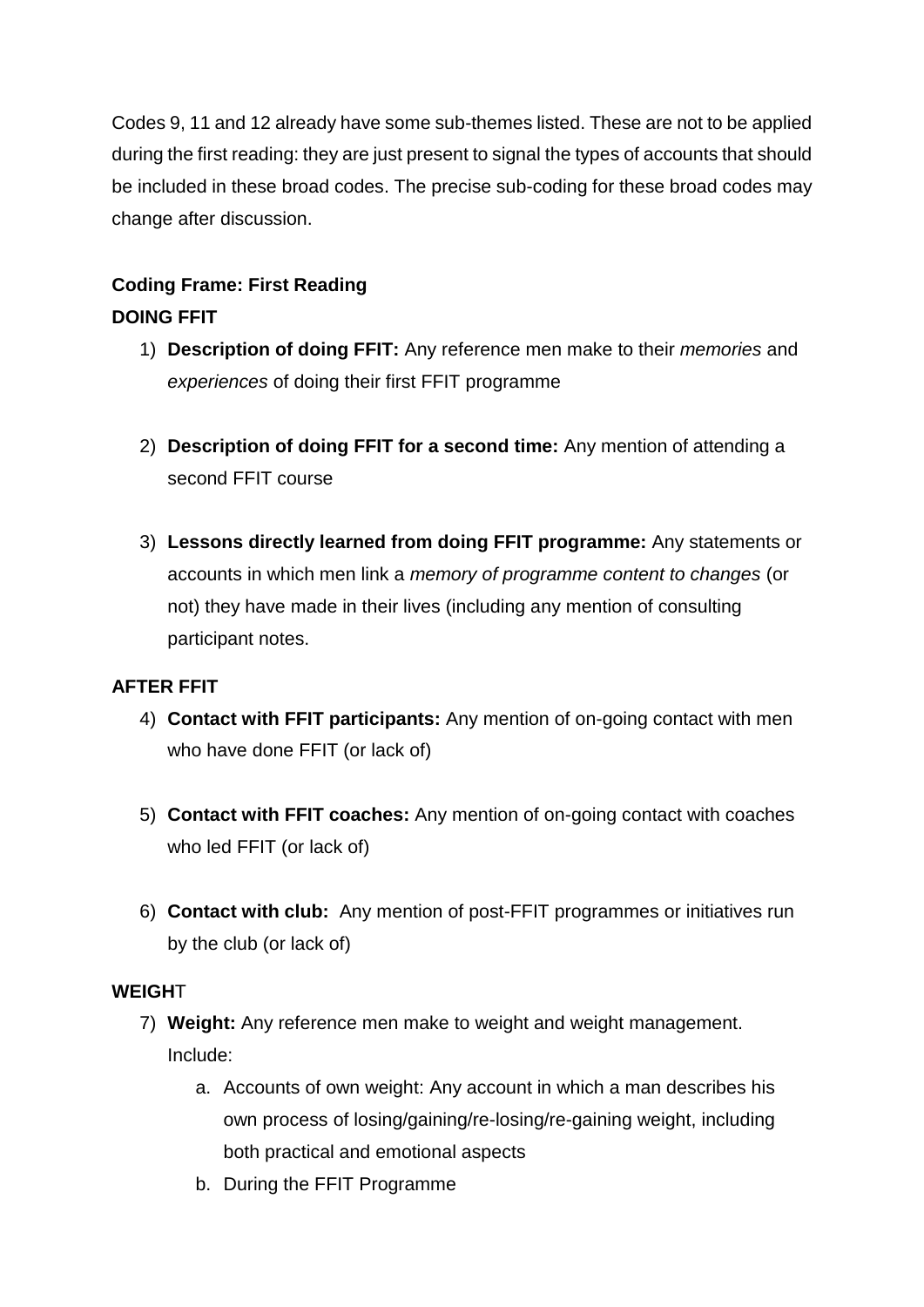Codes 9, 11 and 12 already have some sub-themes listed. These are not to be applied during the first reading: they are just present to signal the types of accounts that should be included in these broad codes. The precise sub-coding for these broad codes may change after discussion.

# **Coding Frame: First Reading DOING FFIT**

- 1) **Description of doing FFIT:** Any reference men make to their *memories* and *experiences* of doing their first FFIT programme
- 2) **Description of doing FFIT for a second time:** Any mention of attending a second FFIT course
- 3) **Lessons directly learned from doing FFIT programme:** Any statements or accounts in which men link a *memory of programme content to changes* (or not) they have made in their lives (including any mention of consulting participant notes.

# **AFTER FFIT**

- 4) **Contact with FFIT participants:** Any mention of on-going contact with men who have done FFIT (or lack of)
- 5) **Contact with FFIT coaches:** Any mention of on-going contact with coaches who led FFIT (or lack of)
- 6) **Contact with club:** Any mention of post-FFIT programmes or initiatives run by the club (or lack of)

# **WEIGH**T

- 7) **Weight:** Any reference men make to weight and weight management. Include:
	- a. Accounts of own weight: Any account in which a man describes his own process of losing/gaining/re-losing/re-gaining weight, including both practical and emotional aspects
	- b. During the FFIT Programme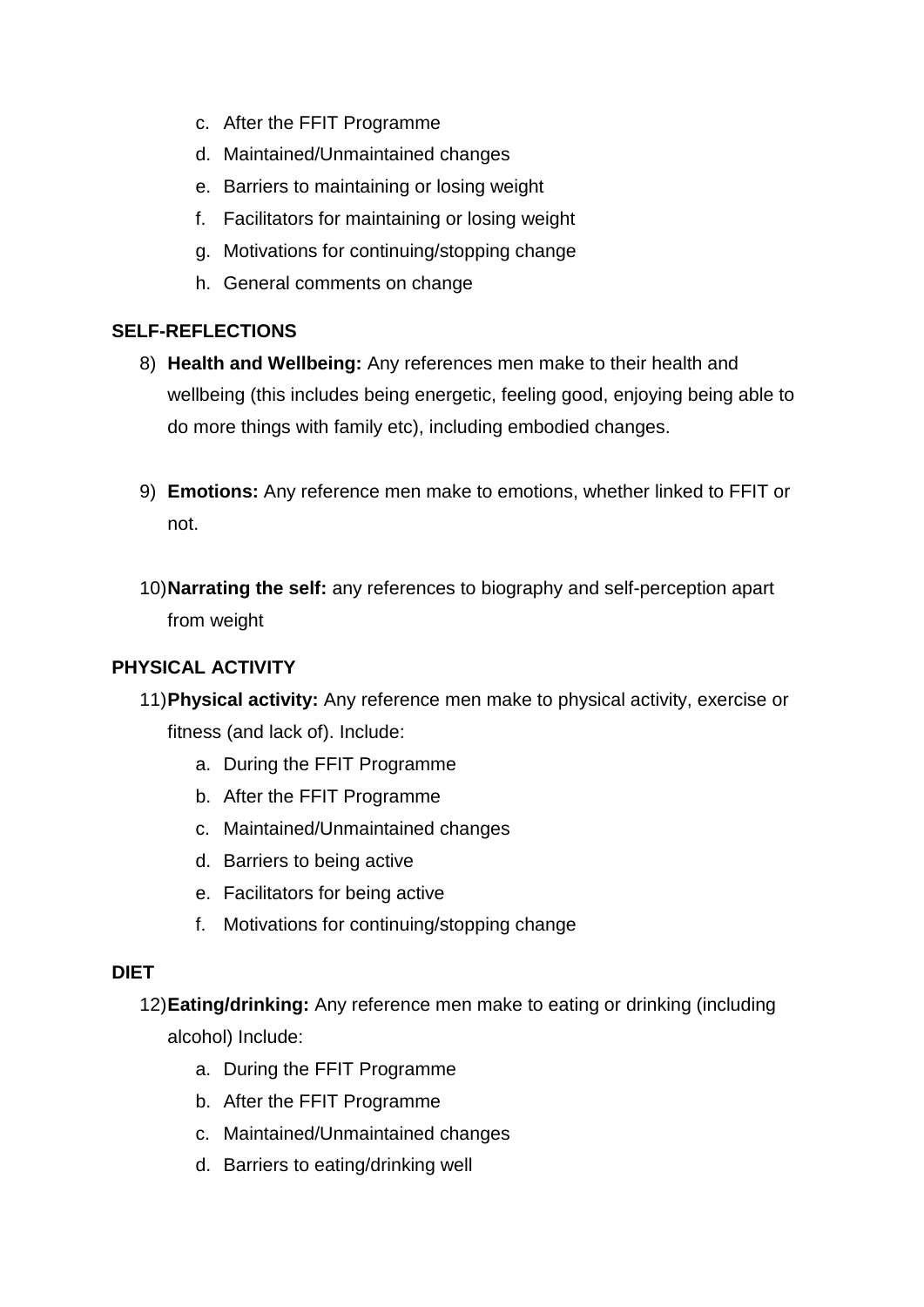- c. After the FFIT Programme
- d. Maintained/Unmaintained changes
- e. Barriers to maintaining or losing weight
- f. Facilitators for maintaining or losing weight
- g. Motivations for continuing/stopping change
- h. General comments on change

#### **SELF-REFLECTIONS**

- 8) **Health and Wellbeing:** Any references men make to their health and wellbeing (this includes being energetic, feeling good, enjoying being able to do more things with family etc), including embodied changes.
- 9) **Emotions:** Any reference men make to emotions, whether linked to FFIT or not.
- 10)**Narrating the self:** any references to biography and self-perception apart from weight

# **PHYSICAL ACTIVITY**

- 11)**Physical activity:** Any reference men make to physical activity, exercise or fitness (and lack of). Include:
	- a. During the FFIT Programme
	- b. After the FFIT Programme
	- c. Maintained/Unmaintained changes
	- d. Barriers to being active
	- e. Facilitators for being active
	- f. Motivations for continuing/stopping change

#### **DIET**

12)**Eating/drinking:** Any reference men make to eating or drinking (including alcohol) Include:

- a. During the FFIT Programme
- b. After the FFIT Programme
- c. Maintained/Unmaintained changes
- d. Barriers to eating/drinking well